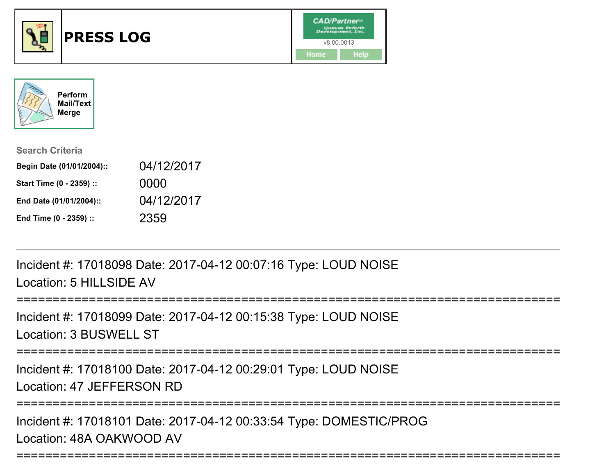



| <b>Search Criteria</b>    |            |
|---------------------------|------------|
| Begin Date (01/01/2004):: | 04/12/2017 |
| Start Time (0 - 2359) ::  | 0000       |
| End Date (01/01/2004)::   | 04/12/2017 |
| End Time (0 - 2359) ::    | 2359       |

Incident #: 17018098 Date: 2017-04-12 00:07:16 Type: LOUD NOISELocation: 5 HILLSIDE AV

==================

```
Incident #: 17018099 Date: 2017-04-12 00:15:38 Type: LOUD NOISELocation: 3 BUSWELL ST
```
===========================================================================

Incident #: 17018100 Date: 2017-04-12 00:29:01 Type: LOUD NOISELocation: 47 JEFFERSON RD

===========================================================================

===========================================================================

Incident #: 17018101 Date: 2017-04-12 00:33:54 Type: DOMESTIC/PROGLocation: 48A OAKWOOD AV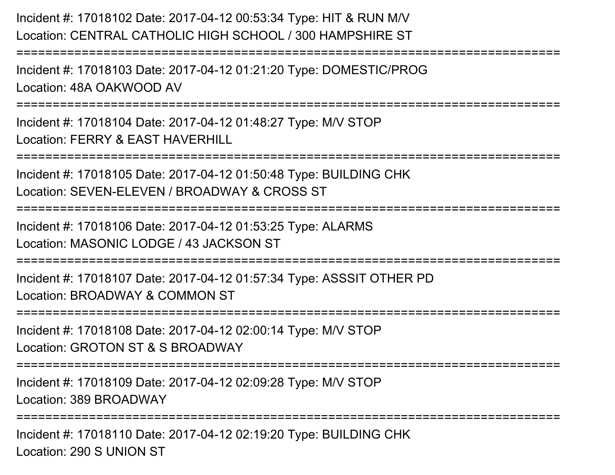Incident #: 17018102 Date: 2017-04-12 00:53:34 Type: HIT & RUN M/V Location: CENTRAL CATHOLIC HIGH SCHOOL / 300 HAMPSHIRE ST===========================================================================Incident #: 17018103 Date: 2017-04-12 01:21:20 Type: DOMESTIC/PROGLocation: 48A OAKWOOD AV===========================================================================Incident #: 17018104 Date: 2017-04-12 01:48:27 Type: M/V STOPLocation: FERRY & EAST HAVERHILL===========================================================================Incident #: 17018105 Date: 2017-04-12 01:50:48 Type: BUILDING CHKLocation: SEVEN-ELEVEN / BROADWAY & CROSS ST===========================================================================Incident #: 17018106 Date: 2017-04-12 01:53:25 Type: ALARMSLocation: MASONIC LODGE / 43 JACKSON ST===========================================================================Incident #: 17018107 Date: 2017-04-12 01:57:34 Type: ASSSIT OTHER PDLocation: BROADWAY & COMMON ST===========================================================================Incident #: 17018108 Date: 2017-04-12 02:00:14 Type: M/V STOPLocation: GROTON ST & S BROADWAY===========================================================================Incident #: 17018109 Date: 2017-04-12 02:09:28 Type: M/V STOPLocation: 389 BROADWAY===========================================================================

Incident #: 17018110 Date: 2017-04-12 02:19:20 Type: BUILDING CHKLocation: 290 S UNION ST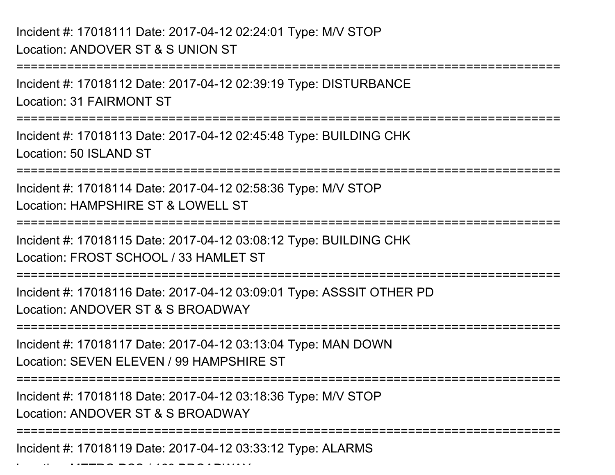Location: METRO PCS / 160 BROADWAY

===========================================================================Incident #: 17018112 Date: 2017-04-12 02:39:19 Type: DISTURBANCELocation: 31 FAIRMONT ST===========================================================================Incident #: 17018113 Date: 2017-04-12 02:45:48 Type: BUILDING CHKLocation: 50 ISLAND ST ===========================================================================Incident #: 17018114 Date: 2017-04-12 02:58:36 Type: M/V STOPLocation: HAMPSHIRE ST & LOWELL ST===========================================================================Incident #: 17018115 Date: 2017-04-12 03:08:12 Type: BUILDING CHKLocation: FROST SCHOOL / 33 HAMI FT ST ===========================================================================Incident #: 17018116 Date: 2017-04-12 03:09:01 Type: ASSSIT OTHER PDLocation: ANDOVER ST & S BROADWAY===========================================================================Incident #: 17018117 Date: 2017-04-12 03:13:04 Type: MAN DOWNLocation: SEVEN ELEVEN / 99 HAMPSHIRE ST===========================================================================Incident #: 17018118 Date: 2017-04-12 03:18:36 Type: M/V STOPLocation: ANDOVER ST & S BROADWAY ===========================================================================Incident #: 17018119 Date: 2017-04-12 03:33:12 Type: ALARMS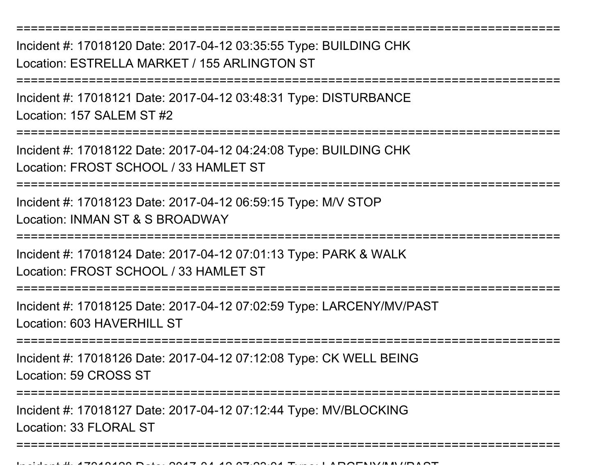===========================================================================Incident #: 17018120 Date: 2017-04-12 03:35:55 Type: BUILDING CHK

Location: ESTRELLA MARKET / 155 ARLINGTON ST

===========================================================================

Incident #: 17018121 Date: 2017-04-12 03:48:31 Type: DISTURBANCELocation: 157 SALEM ST #2

=================

Incident #: 17018122 Date: 2017-04-12 04:24:08 Type: BUILDING CHKLocation: FROST SCHOOL / 33 HAMLET ST

===========================================================================

Incident #: 17018123 Date: 2017-04-12 06:59:15 Type: M/V STOPLocation: INMAN ST & S BROADWAY

===========================================================================

Incident #: 17018124 Date: 2017-04-12 07:01:13 Type: PARK & WALKLocation: FROST SCHOOL / 33 HAMLET ST

===========================================================================

Incident #: 17018125 Date: 2017-04-12 07:02:59 Type: LARCENY/MV/PASTLocation: 603 HAVERHILL ST

===========================================================================

Incident #: 17018126 Date: 2017-04-12 07:12:08 Type: CK WELL BEINGLocation: 59 CROSS ST

================

Incident #: 17018127 Date: 2017-04-12 07:12:44 Type: MV/BLOCKINGLocation: 33 FLORAL ST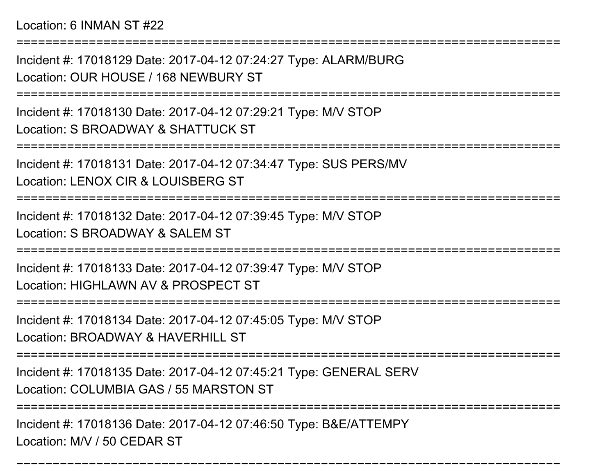Location: 6 INMAN ST #22

===========================================================================Incident #: 17018129 Date: 2017-04-12 07:24:27 Type: ALARM/BURGLocation: OUR HOUSE / 168 NEWBURY ST===========================================================================Incident #: 17018130 Date: 2017-04-12 07:29:21 Type: M/V STOPLocation: S BROADWAY & SHATTUCK ST===========================================================================Incident #: 17018131 Date: 2017-04-12 07:34:47 Type: SUS PERS/MVLocation: LENOX CIR & LOUISBERG ST===========================================================================Incident #: 17018132 Date: 2017-04-12 07:39:45 Type: M/V STOPLocation: S BROADWAY & SAI FM ST ===========================================================================Incident #: 17018133 Date: 2017-04-12 07:39:47 Type: M/V STOPLocation: HIGHLAWN AV & PROSPECT ST===========================================================================Incident #: 17018134 Date: 2017-04-12 07:45:05 Type: M/V STOPLocation: BROADWAY & HAVERHILL ST===========================================================================

Incident #: 17018135 Date: 2017-04-12 07:45:21 Type: GENERAL SERV

Location: COLUMBIA GAS / 55 MARSTON ST

===========================================================================

===========================================================================

Incident #: 17018136 Date: 2017-04-12 07:46:50 Type: B&E/ATTEMPYLocation: M/V / 50 CEDAR ST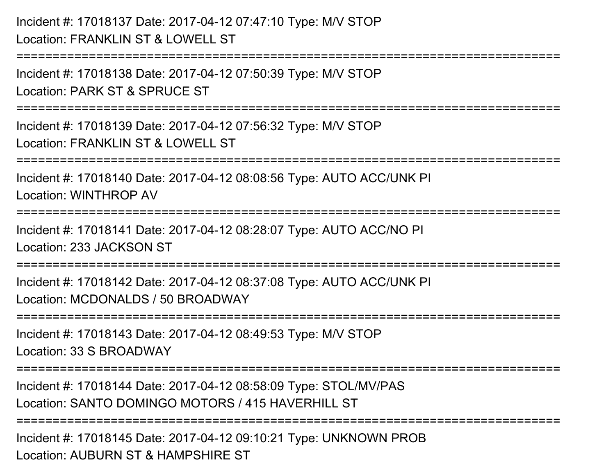# Incident #: 17018137 Date: 2017-04-12 07:47:10 Type: M/V STOPLocation: FRANKLIN ST & LOWELL ST

Incident #: 17018138 Date: 2017-04-12 07:50:39 Type: M/V STOPLocation: PARK ST & SPRUCE ST

===========================================================================

===========================================================================

Incident #: 17018139 Date: 2017-04-12 07:56:32 Type: M/V STOPLocation: FRANKLIN ST & LOWELL ST

===========================================================================

Incident #: 17018140 Date: 2017-04-12 08:08:56 Type: AUTO ACC/UNK PILocation: WINTHROP AV

===========================================================================

Incident #: 17018141 Date: 2017-04-12 08:28:07 Type: AUTO ACC/NO PILocation: 233 JACKSON ST

===========================================================================

Incident #: 17018142 Date: 2017-04-12 08:37:08 Type: AUTO ACC/UNK PILocation: MCDONALDS / 50 BROADWAY

===========================================================================

Incident #: 17018143 Date: 2017-04-12 08:49:53 Type: M/V STOPLocation: 33 S BROADWAY

===========================================================================

Incident #: 17018144 Date: 2017-04-12 08:58:09 Type: STOL/MV/PASLocation: SANTO DOMINGO MOTORS / 415 HAVERHILL ST

===========================================================================

Incident #: 17018145 Date: 2017-04-12 09:10:21 Type: UNKNOWN PROBLocation: AUBURN ST & HAMPSHIRE ST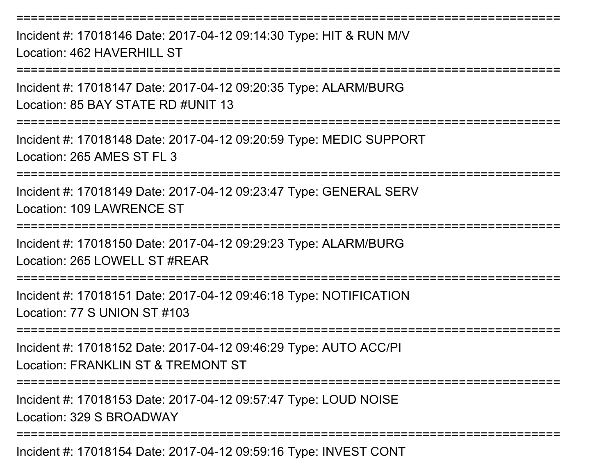Incident #: 17018146 Date: 2017-04-12 09:14:30 Type: HIT & RUN M/VLocation: 462 HAVERHILL ST

===========================================================================

===========================================================================

Incident #: 17018147 Date: 2017-04-12 09:20:35 Type: ALARM/BURGLocation: 85 BAY STATE RD #UNIT 13

===========================================================================

Incident #: 17018148 Date: 2017-04-12 09:20:59 Type: MEDIC SUPPORTLocation: 265 AMES ST FL 3

===========================================================================

Incident #: 17018149 Date: 2017-04-12 09:23:47 Type: GENERAL SERVLocation: 109 LAWRENCE ST

===========================================================================

Incident #: 17018150 Date: 2017-04-12 09:29:23 Type: ALARM/BURGLocation: 265 LOWELL ST #REAR

===========================================================================

Incident #: 17018151 Date: 2017-04-12 09:46:18 Type: NOTIFICATIONLocation: 77 S UNION ST #103

===========================================================================

Incident #: 17018152 Date: 2017-04-12 09:46:29 Type: AUTO ACC/PILocation: FRANKLIN ST & TREMONT ST

===========================================================================

Incident #: 17018153 Date: 2017-04-12 09:57:47 Type: LOUD NOISELocation: 329 S BROADWAY

===========================================================================

Incident #: 17018154 Date: 2017-04-12 09:59:16 Type: INVEST CONT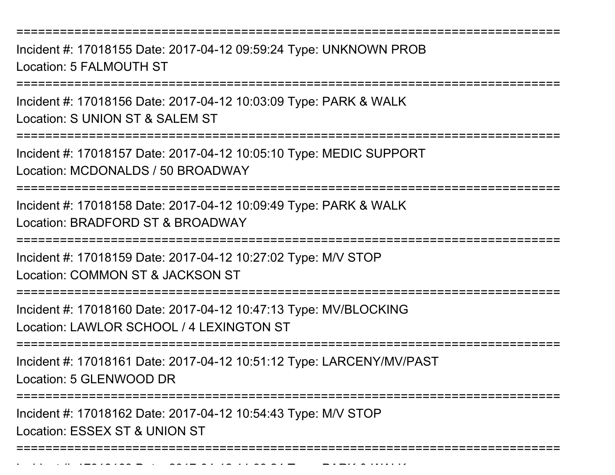===========================================================================

Incident #: 17018155 Date: 2017-04-12 09:59:24 Type: UNKNOWN PROBLocation: 5 FALMOUTH ST

===========================================================================

Incident #: 17018156 Date: 2017-04-12 10:03:09 Type: PARK & WALKLocation: S UNION ST & SALEM ST

===========================================================================

Incident #: 17018157 Date: 2017-04-12 10:05:10 Type: MEDIC SUPPORTLocation: MCDONALDS / 50 BROADWAY

===========================================================================

Incident #: 17018158 Date: 2017-04-12 10:09:49 Type: PARK & WALKLocation: BRADFORD ST & BROADWAY

===========================================================================

Incident #: 17018159 Date: 2017-04-12 10:27:02 Type: M/V STOP

Location: COMMON ST & JACKSON ST

===========================================================================

Incident #: 17018160 Date: 2017-04-12 10:47:13 Type: MV/BLOCKINGLocation: LAWLOR SCHOOL / 4 LEXINGTON ST

===========================================================================

Incident #: 17018161 Date: 2017-04-12 10:51:12 Type: LARCENY/MV/PASTLocation: 5 GLENWOOD DR

===========================================================================

Incident #: 17018162 Date: 2017-04-12 10:54:43 Type: M/V STOP

Location: ESSEX ST & UNION ST

Incident #: 17018163 Date: 2017

===========================================================================

= 0 *1 10 11:03:24* Type: PARK 0 1111111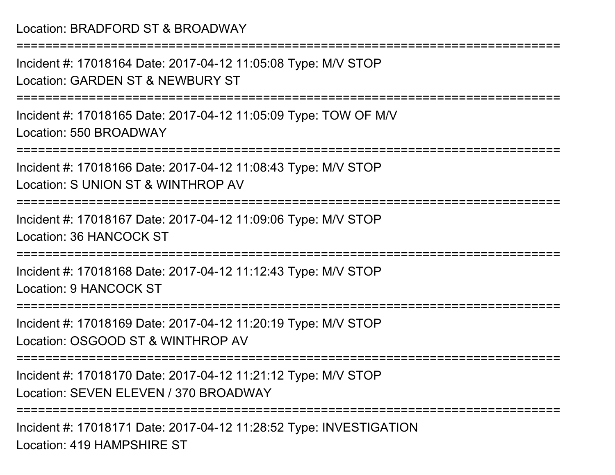## Location: BRADFORD ST & BROADWAY

===========================================================================Incident #: 17018164 Date: 2017-04-12 11:05:08 Type: M/V STOPLocation: GARDEN ST & NEWBURY ST===========================================================================Incident #: 17018165 Date: 2017-04-12 11:05:09 Type: TOW OF M/VLocation: 550 BROADWAY ===========================================================================Incident #: 17018166 Date: 2017-04-12 11:08:43 Type: M/V STOPLocation: S UNION ST & WINTHROP AV===========================================================================Incident #: 17018167 Date: 2017-04-12 11:09:06 Type: M/V STOPLocation: 36 HANCOCK ST===========================================================================Incident #: 17018168 Date: 2017-04-12 11:12:43 Type: M/V STOPLocation: 9 HANCOCK ST========================= Incident #: 17018169 Date: 2017-04-12 11:20:19 Type: M/V STOPLocation: OSGOOD ST & WINTHROP AV===========================================================================Incident #: 17018170 Date: 2017-04-12 11:21:12 Type: M/V STOPLocation: SEVEN ELEVEN / 370 BROADWAY===========================================================================Incident #: 17018171 Date: 2017-04-12 11:28:52 Type: INVESTIGATION

Location: 419 HAMPSHIRE ST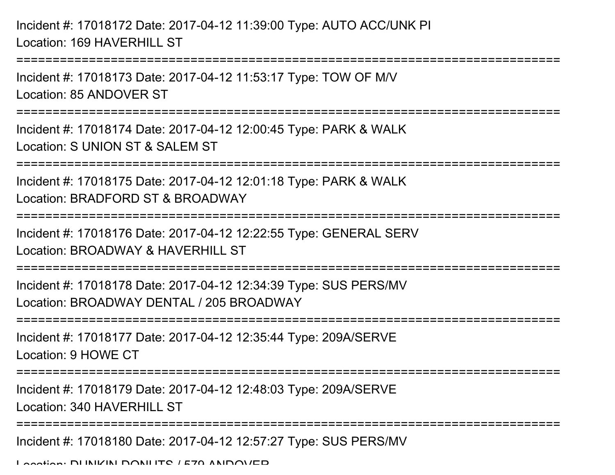Incident #: 17018172 Date: 2017-04-12 11:39:00 Type: AUTO ACC/UNK PILocation: 169 HAVERHILL ST

Incident #: 17018173 Date: 2017-04-12 11:53:17 Type: TOW OF M/VLocation: 85 ANDOVER ST

===========================================================================

===========================================================================

Incident #: 17018174 Date: 2017-04-12 12:00:45 Type: PARK & WALKLocation: S UNION ST & SALEM ST

===========================================================================

Incident #: 17018175 Date: 2017-04-12 12:01:18 Type: PARK & WALKLocation: BRADFORD ST & BROADWAY

===========================================================================

Incident #: 17018176 Date: 2017-04-12 12:22:55 Type: GENERAL SERV

Location: BROADWAY & HAVERHILL ST

===========================================================================

Incident #: 17018178 Date: 2017-04-12 12:34:39 Type: SUS PERS/MVLocation: BROADWAY DENTAL / 205 BROADWAY

===========================================================================

Incident #: 17018177 Date: 2017-04-12 12:35:44 Type: 209A/SERVELocation: 9 HOWE CT

===========================================================================

Incident #: 17018179 Date: 2017-04-12 12:48:03 Type: 209A/SERVE

Location: 340 HAVERHILL ST

===========================================================================

Incident #: 17018180 Date: 2017-04-12 12:57:27 Type: SUS PERS/MV

Location: DUNKIN DONUTS / 579 ANDOVER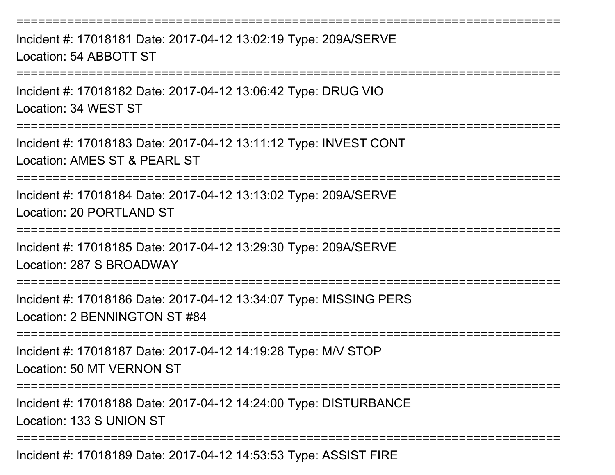===========================================================================Incident #: 17018181 Date: 2017-04-12 13:02:19 Type: 209A/SERVELocation: 54 ABBOTT ST===========================================================================Incident #: 17018182 Date: 2017-04-12 13:06:42 Type: DRUG VIOLocation: 34 WEST ST===========================================================================Incident #: 17018183 Date: 2017-04-12 13:11:12 Type: INVEST CONTLocation: AMES ST & PEARL ST===========================================================================Incident #: 17018184 Date: 2017-04-12 13:13:02 Type: 209A/SERVELocation: 20 PORTLAND ST===========================================================================Incident #: 17018185 Date: 2017-04-12 13:29:30 Type: 209A/SERVELocation: 287 S BROADWAY===========================================================================Incident #: 17018186 Date: 2017-04-12 13:34:07 Type: MISSING PERSLocation: 2 BENNINGTON ST #84===========================================================================Incident #: 17018187 Date: 2017-04-12 14:19:28 Type: M/V STOPLocation: 50 MT VERNON ST===========================================================================Incident #: 17018188 Date: 2017-04-12 14:24:00 Type: DISTURBANCELocation: 133 S UNION ST===========================================================================

Incident #: 17018189 Date: 2017-04-12 14:53:53 Type: ASSIST FIRE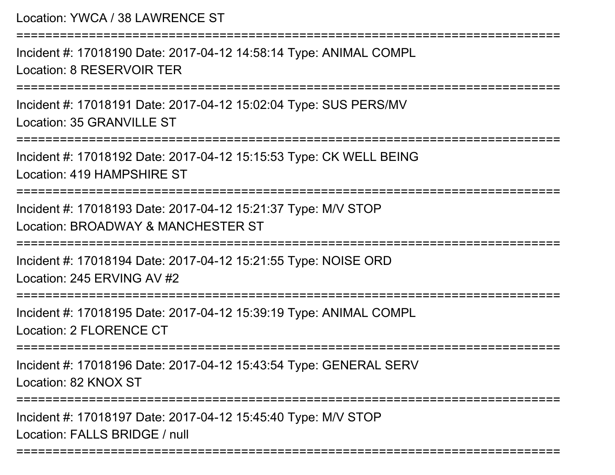| Location: YWCA / 38 LAWRENCE ST                                                                     |
|-----------------------------------------------------------------------------------------------------|
| Incident #: 17018190 Date: 2017-04-12 14:58:14 Type: ANIMAL COMPL<br>Location: 8 RESERVOIR TER      |
| Incident #: 17018191 Date: 2017-04-12 15:02:04 Type: SUS PERS/MV<br>Location: 35 GRANVILLE ST       |
| Incident #: 17018192 Date: 2017-04-12 15:15:53 Type: CK WELL BEING<br>Location: 419 HAMPSHIRE ST    |
| Incident #: 17018193 Date: 2017-04-12 15:21:37 Type: M/V STOP<br>Location: BROADWAY & MANCHESTER ST |
| Incident #: 17018194 Date: 2017-04-12 15:21:55 Type: NOISE ORD<br>Location: 245 ERVING AV #2        |
| Incident #: 17018195 Date: 2017-04-12 15:39:19 Type: ANIMAL COMPL<br><b>Location: 2 FLORENCE CT</b> |
| Incident #: 17018196 Date: 2017-04-12 15:43:54 Type: GENERAL SERV<br>Location: 82 KNOX ST           |
| Incident #: 17018197 Date: 2017-04-12 15:45:40 Type: M/V STOP<br>Location: FALLS BRIDGE / null      |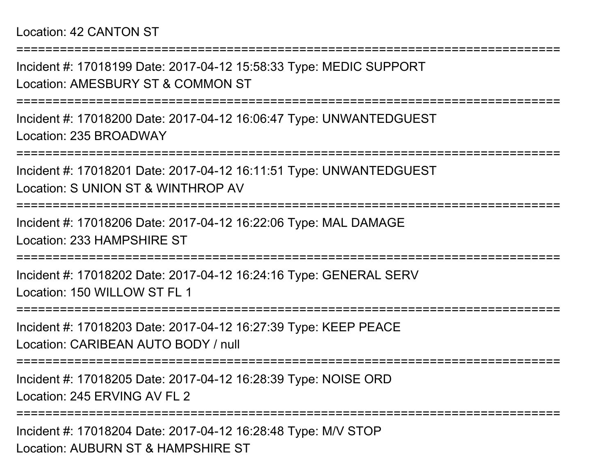Incident #: 17018199 Date: 2017-04-12 15:58:33 Type: MEDIC SUPPORTLocation: AMESBURY ST & COMMON ST

===========================================================================

===========================================================================

Incident #: 17018200 Date: 2017-04-12 16:06:47 Type: UNWANTEDGUESTLocation: 235 BROADWAY

===========================================================================

Incident #: 17018201 Date: 2017-04-12 16:11:51 Type: UNWANTEDGUESTLocation: S UNION ST & WINTHROP AV

===========================================================================

Incident #: 17018206 Date: 2017-04-12 16:22:06 Type: MAL DAMAGELocation: 233 HAMPSHIRE ST

===========================================================================

Incident #: 17018202 Date: 2017-04-12 16:24:16 Type: GENERAL SERVLocation: 150 WILLOW ST FL 1

===========================================================================

Incident #: 17018203 Date: 2017-04-12 16:27:39 Type: KEEP PEACELocation: CARIBEAN AUTO BODY / null

===========================================================================

Incident #: 17018205 Date: 2017-04-12 16:28:39 Type: NOISE ORDLocation: 245 ERVING AV FL 2

===========================================================================

Incident #: 17018204 Date: 2017-04-12 16:28:48 Type: M/V STOPLocation: AUBURN ST & HAMPSHIRE ST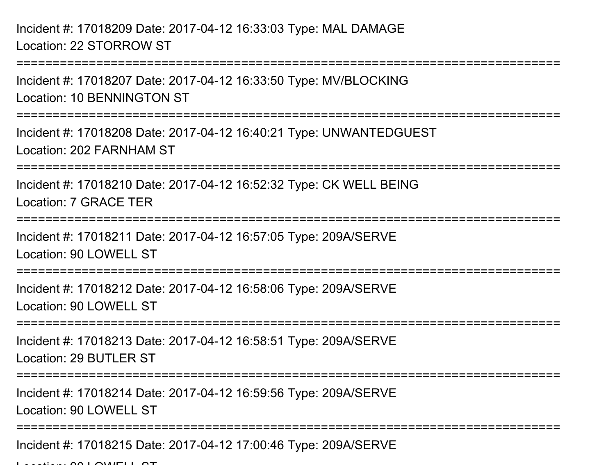Incident #: 17018209 Date: 2017-04-12 16:33:03 Type: MAL DAMAGELocation: 22 STORROW ST

===========================================================================Incident #: 17018207 Date: 2017-04-12 16:33:50 Type: MV/BLOCKINGLocation: 10 BENNINGTON ST===========================================================================Incident #: 17018208 Date: 2017-04-12 16:40:21 Type: UNWANTEDGUESTLocation: 202 FARNHAM ST===========================================================================Incident #: 17018210 Date: 2017-04-12 16:52:32 Type: CK WELL BEINGLocation: 7 GRACE TER===========================================================================Incident #: 17018211 Date: 2017-04-12 16:57:05 Type: 209A/SERVELocation: 90 LOWELL ST ======================== Incident #: 17018212 Date: 2017-04-12 16:58:06 Type: 209A/SERVELocation: 90 LOWELL ST ===========================================================================Incident #: 17018213 Date: 2017-04-12 16:58:51 Type: 209A/SERVELocation: 29 BUTLER ST ========================= Incident #: 17018214 Date: 2017-04-12 16:59:56 Type: 209A/SERVELocation: 90 LOWELL ST ===========================================================================Incident #: 17018215 Date: 2017-04-12 17:00:46 Type: 209A/SERVE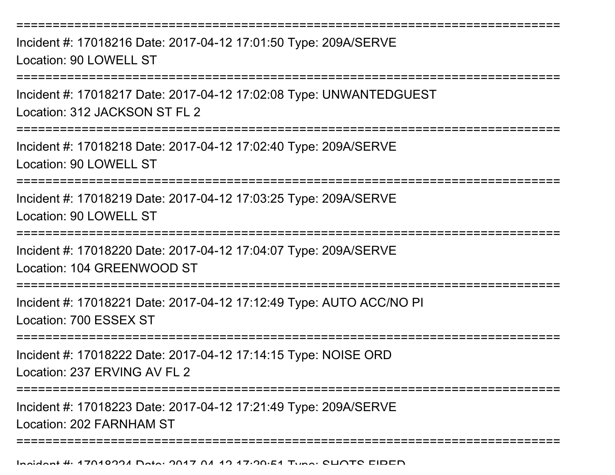===========================================================================Incident #: 17018216 Date: 2017-04-12 17:01:50 Type: 209A/SERVELocation: 90 LOWELL ST===========================================================================Incident #: 17018217 Date: 2017-04-12 17:02:08 Type: UNWANTEDGUESTLocation: 312 JACKSON ST FL 2===========================================================================Incident #: 17018218 Date: 2017-04-12 17:02:40 Type: 209A/SERVELocation: 90 LOWELL ST===========================================================================Incident #: 17018219 Date: 2017-04-12 17:03:25 Type: 209A/SERVELocation: 90 LOWELL ST======================= Incident #: 17018220 Date: 2017-04-12 17:04:07 Type: 209A/SERVELocation: 104 GREENWOOD ST===========================================================================Incident #: 17018221 Date: 2017-04-12 17:12:49 Type: AUTO ACC/NO PILocation: 700 ESSEX ST===========================================================================Incident #: 17018222 Date: 2017-04-12 17:14:15 Type: NOISE ORDLocation: 237 ERVING AV FL 2===========================================================================

Incident #: 17018223 Date: 2017-04-12 17:21:49 Type: 209A/SERVELocation: 202 FARNHAM ST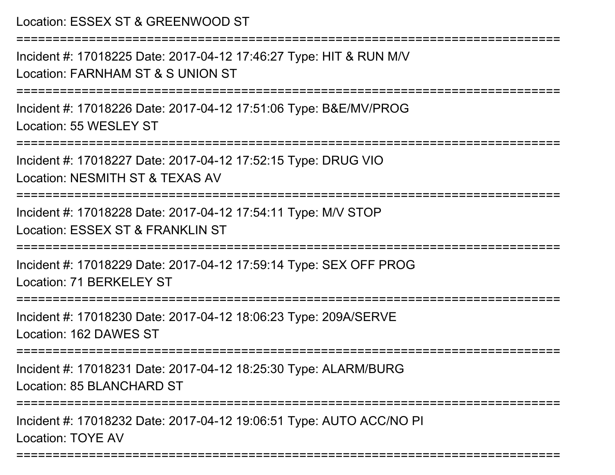### Location: ESSEX ST & GREENWOOD ST

===========================================================================

Incident #: 17018225 Date: 2017-04-12 17:46:27 Type: HIT & RUN M/VLocation: FARNHAM ST & S UNION ST

===========================================================================

Incident #: 17018226 Date: 2017-04-12 17:51:06 Type: B&E/MV/PROGLocation: 55 WESLEY ST

===========================================================================

Incident #: 17018227 Date: 2017-04-12 17:52:15 Type: DRUG VIOLocation: NESMITH ST & TEXAS AV

===========================================================================

Incident #: 17018228 Date: 2017-04-12 17:54:11 Type: M/V STOP

Location: ESSEX ST & FRANKLIN ST

===========================================================================

Incident #: 17018229 Date: 2017-04-12 17:59:14 Type: SEX OFF PROGLocation: 71 BERKELEY ST

===========================================================================

Incident #: 17018230 Date: 2017-04-12 18:06:23 Type: 209A/SERVELocation: 162 DAWES ST

===========================================================================

Incident #: 17018231 Date: 2017-04-12 18:25:30 Type: ALARM/BURGLocation: 85 BLANCHARD ST

===========================================================================

Incident #: 17018232 Date: 2017-04-12 19:06:51 Type: AUTO ACC/NO PILocation: TOYE AV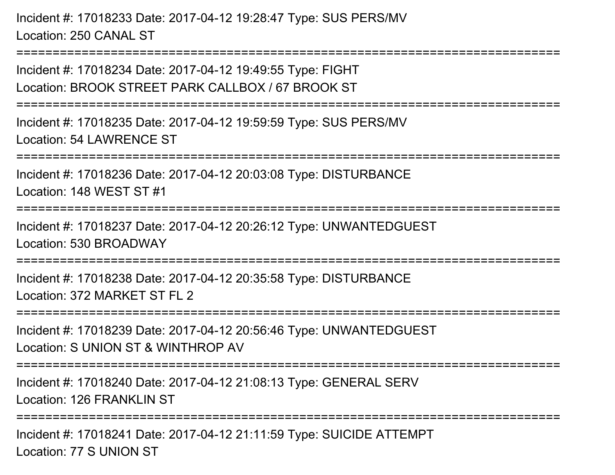Incident #: 17018233 Date: 2017-04-12 19:28:47 Type: SUS PERS/MVLocation: 250 CANAL ST

Incident #: 17018234 Date: 2017-04-12 19:49:55 Type: FIGHT Location: BROOK STREET PARK CALLBOX / 67 BROOK ST===========================================================================Incident #: 17018235 Date: 2017-04-12 19:59:59 Type: SUS PERS/MVLocation: 54 LAWRENCE ST===========================================================================Incident #: 17018236 Date: 2017-04-12 20:03:08 Type: DISTURBANCELocation: 148 WEST ST #1========================= Incident #: 17018237 Date: 2017-04-12 20:26:12 Type: UNWANTEDGUESTLocation: 530 BROADWAY===========================================================================Incident #: 17018238 Date: 2017-04-12 20:35:58 Type: DISTURBANCELocation: 372 MARKET ST FL 2===========================================================================Incident #: 17018239 Date: 2017-04-12 20:56:46 Type: UNWANTEDGUEST

===========================================================================

Location: S UNION ST & WINTHROP AV

===========================================================================

Incident #: 17018240 Date: 2017-04-12 21:08:13 Type: GENERAL SERVLocation: 126 FRANKLIN ST

======================

Incident #: 17018241 Date: 2017-04-12 21:11:59 Type: SUICIDE ATTEMPTLocation: 77 S UNION ST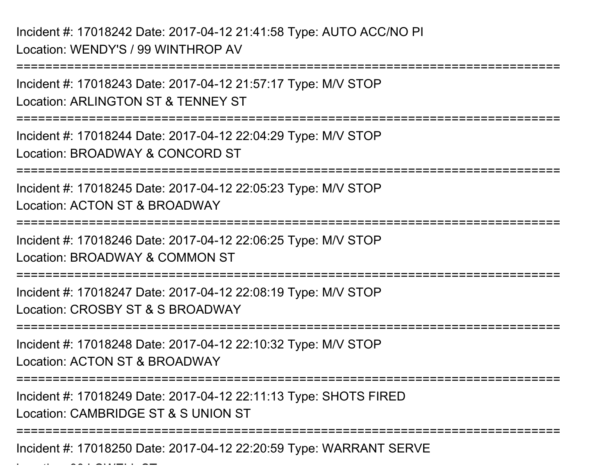Incident #: 17018242 Date: 2017-04-12 21:41:58 Type: AUTO ACC/NO PILocation: WENDY'S / 99 WINTHROP AV

Location: 90 LOWELL ST

===========================================================================Incident #: 17018243 Date: 2017-04-12 21:57:17 Type: M/V STOPLocation: ARLINGTON ST & TENNEY ST===========================================================================Incident #: 17018244 Date: 2017-04-12 22:04:29 Type: M/V STOPLocation: BROADWAY & CONCORD ST===========================================================================Incident #: 17018245 Date: 2017-04-12 22:05:23 Type: M/V STOPLocation: ACTON ST & BROADWAY===========================================================================Incident #: 17018246 Date: 2017-04-12 22:06:25 Type: M/V STOPLocation: BROADWAY & COMMON ST===========================================================================Incident #: 17018247 Date: 2017-04-12 22:08:19 Type: M/V STOPLocation: CROSBY ST & S BROADWAY===========================================================================Incident #: 17018248 Date: 2017-04-12 22:10:32 Type: M/V STOPLocation: ACTON ST & BROADWAY===========================================================================Incident #: 17018249 Date: 2017-04-12 22:11:13 Type: SHOTS FIREDLocation: CAMBRIDGE ST & S UNION ST===========================================================================Incident #: 17018250 Date: 2017-04-12 22:20:59 Type: WARRANT SERVE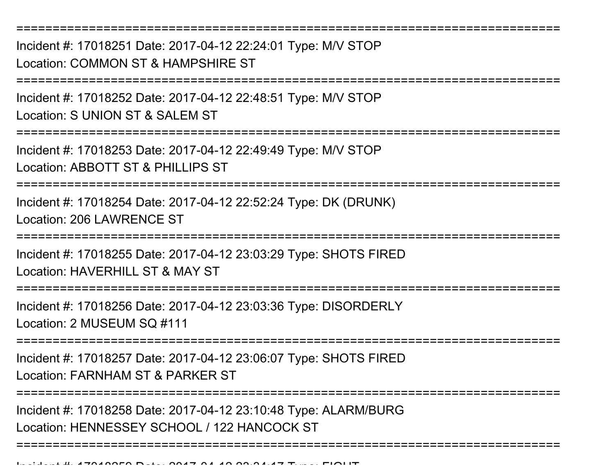===========================================================================Incident #: 17018251 Date: 2017-04-12 22:24:01 Type: M/V STOPLocation: COMMON ST & HAMPSHIRE ST===========================================================================Incident #: 17018252 Date: 2017-04-12 22:48:51 Type: M/V STOPLocation: S UNION ST & SALEM ST ===========================================================================Incident #: 17018253 Date: 2017-04-12 22:49:49 Type: M/V STOPLocation: ABBOTT ST & PHILLIPS ST===========================================================================Incident #: 17018254 Date: 2017-04-12 22:52:24 Type: DK (DRUNK)Location: 206 LAWRENCE ST===========================================================================Incident #: 17018255 Date: 2017-04-12 23:03:29 Type: SHOTS FIREDLocation: HAVERHILL ST & MAY ST ===========================================================================Incident #: 17018256 Date: 2017-04-12 23:03:36 Type: DISORDERLYLocation: 2 MUSEUM SQ #111===========================================================================Incident #: 17018257 Date: 2017-04-12 23:06:07 Type: SHOTS FIREDLocation: FARNHAM ST & PARKER ST===========================================================================Incident #: 17018258 Date: 2017-04-12 23:10:48 Type: ALARM/BURGLocation: HENNESSEY SCHOOL / 122 HANCOCK ST